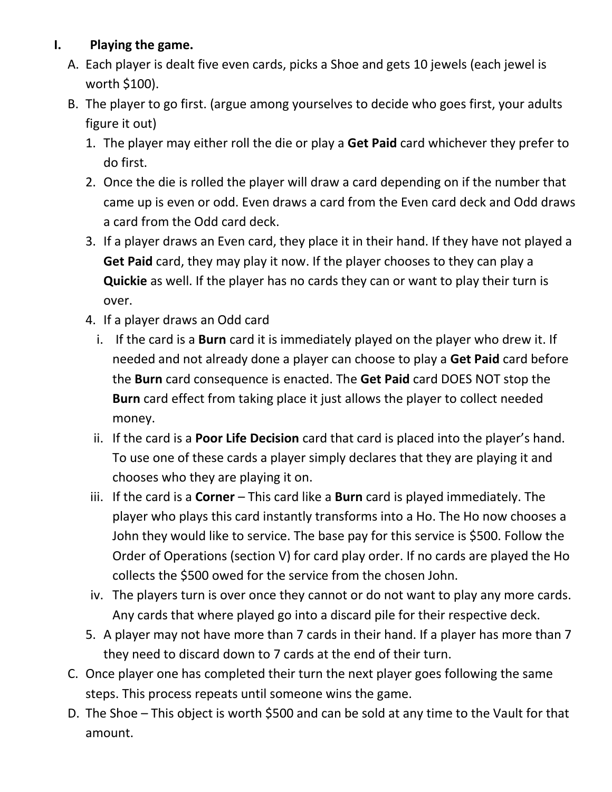## **I. Playing the game.**

- A. Each player is dealt five even cards, picks a Shoe and gets 10 jewels (each jewel is worth \$100).
- B. The player to go first. (argue among yourselves to decide who goes first, your adults figure it out)
	- 1. The player may either roll the die or play a **Get Paid** card whichever they prefer to do first.
	- 2. Once the die is rolled the player will draw a card depending on if the number that came up is even or odd. Even draws a card from the Even card deck and Odd draws a card from the Odd card deck.
	- 3. If a player draws an Even card, they place it in their hand. If they have not played a **Get Paid** card, they may play it now. If the player chooses to they can play a **Quickie** as well. If the player has no cards they can or want to play their turn is over.
	- 4. If a player draws an Odd card
		- i. If the card is a **Burn** card it is immediately played on the player who drew it. If needed and not already done a player can choose to play a **Get Paid** card before the **Burn** card consequence is enacted. The **Get Paid** card DOES NOT stop the **Burn** card effect from taking place it just allows the player to collect needed money.
		- ii. If the card is a **Poor Life Decision** card that card is placed into the player's hand. To use one of these cards a player simply declares that they are playing it and chooses who they are playing it on.
	- iii. If the card is a **Corner** This card like a **Burn** card is played immediately. The player who plays this card instantly transforms into a Ho. The Ho now chooses a John they would like to service. The base pay for this service is \$500. Follow the Order of Operations (section V) for card play order. If no cards are played the Ho collects the \$500 owed for the service from the chosen John.
	- iv. The players turn is over once they cannot or do not want to play any more cards. Any cards that where played go into a discard pile for their respective deck.
	- 5. A player may not have more than 7 cards in their hand. If a player has more than 7 they need to discard down to 7 cards at the end of their turn.
- C. Once player one has completed their turn the next player goes following the same steps. This process repeats until someone wins the game.
- D. The Shoe This object is worth \$500 and can be sold at any time to the Vault for that amount.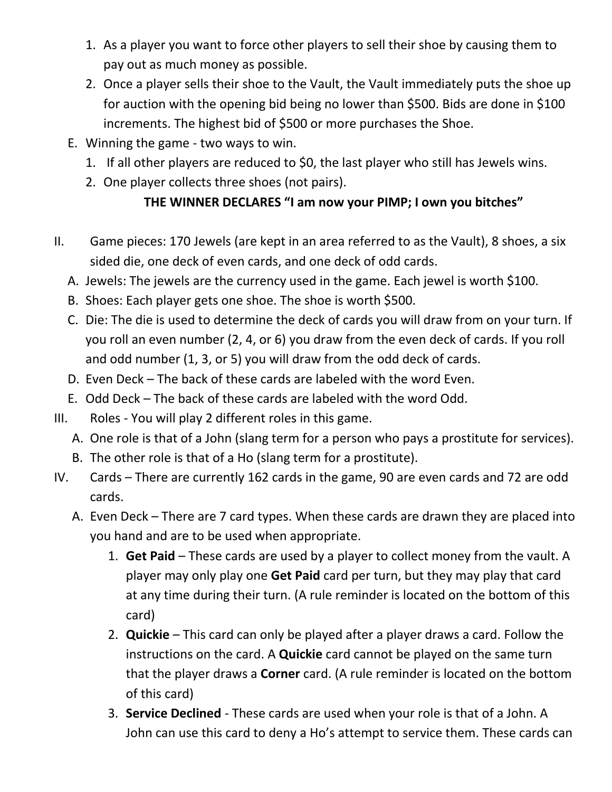- 1. As a player you want to force other players to sell their shoe by causing them to pay out as much money as possible.
- 2. Once a player sells their shoe to the Vault, the Vault immediately puts the shoe up for auction with the opening bid being no lower than \$500. Bids are done in \$100 increments. The highest bid of \$500 or more purchases the Shoe.
- E. Winning the game two ways to win.
	- 1. If all other players are reduced to \$0, the last player who still has Jewels wins.
	- 2. One player collects three shoes (not pairs).

## **THE WINNER DECLARES "I am now your PIMP; I own you bitches"**

- II. Game pieces: 170 Jewels (are kept in an area referred to as the Vault), 8 shoes, a six sided die, one deck of even cards, and one deck of odd cards.
	- A. Jewels: The jewels are the currency used in the game. Each jewel is worth \$100.
	- B. Shoes: Each player gets one shoe. The shoe is worth \$500.
	- C. Die: The die is used to determine the deck of cards you will draw from on your turn. If you roll an even number (2, 4, or 6) you draw from the even deck of cards. If you roll and odd number (1, 3, or 5) you will draw from the odd deck of cards.
	- D. Even Deck The back of these cards are labeled with the word Even.
	- E. Odd Deck The back of these cards are labeled with the word Odd.
- III. Roles You will play 2 different roles in this game.
	- A. One role is that of a John (slang term for a person who pays a prostitute for services).
	- B. The other role is that of a Ho (slang term for a prostitute).
- IV. Cards There are currently 162 cards in the game, 90 are even cards and 72 are odd cards.
	- A. Even Deck There are 7 card types. When these cards are drawn they are placed into you hand and are to be used when appropriate.
		- 1. **Get Paid** These cards are used by a player to collect money from the vault. A player may only play one **Get Paid** card per turn, but they may play that card at any time during their turn. (A rule reminder is located on the bottom of this card)
		- 2. **Quickie** This card can only be played after a player draws a card. Follow the instructions on the card. A **Quickie** card cannot be played on the same turn that the player draws a **Corner** card. (A rule reminder is located on the bottom of this card)
		- 3. **Service Declined** These cards are used when your role is that of a John. A John can use this card to deny a Ho's attempt to service them. These cards can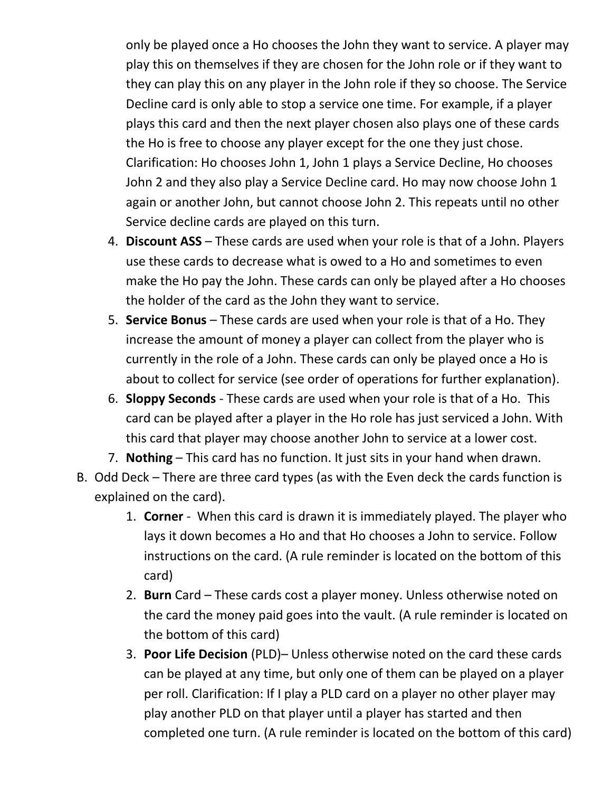only be played once a Ho chooses the John they want to service. A player may play this on themselves if they are chosen for the John role or if they want to they can play this on any player in the John role if they so choose. The Service Decline card is only able to stop a service one time. For example, if a player plays this card and then the next player chosen also plays one of these cards the Ho is free to choose any player except for the one they just chose. Clarification: Ho chooses John 1, John 1 plays a Service Decline, Ho chooses John 2 and they also play a Service Decline card. Ho may now choose John 1 again or another John, but cannot choose John 2. This repeats until no other Service decline cards are played on this turn.

- 4. **Discount ASS** These cards are used when your role is that of a John. Players use these cards to decrease what is owed to a Ho and sometimes to even make the Ho pay the John. These cards can only be played after a Ho chooses the holder of the card as the John they want to service.
- 5. **Service Bonus** These cards are used when your role is that of a Ho. They increase the amount of money a player can collect from the player who is currently in the role of a John. These cards can only be played once a Ho is about to collect for service (see order of operations for further explanation).
- 6. **Sloppy Seconds** These cards are used when your role is that of a Ho. This card can be played after a player in the Ho role has just serviced a John. With this card that player may choose another John to service at a lower cost.
- 7. **Nothing** This card has no function. It just sits in your hand when drawn.
- B. Odd Deck There are three card types (as with the Even deck the cards function is explained on the card).
	- 1. **Corner** When this card is drawn it is immediately played. The player who lays it down becomes a Ho and that Ho chooses a John to service. Follow instructions on the card. (A rule reminder is located on the bottom of this card)
	- 2. **Burn** Card These cards cost a player money. Unless otherwise noted on the card the money paid goes into the vault. (A rule reminder is located on the bottom of this card)
	- 3. **Poor Life Decision** (PLD)– Unless otherwise noted on the card these cards can be played at any time, but only one of them can be played on a player per roll. Clarification: If I play a PLD card on a player no other player may play another PLD on that player until a player has started and then completed one turn. (A rule reminder is located on the bottom of this card)